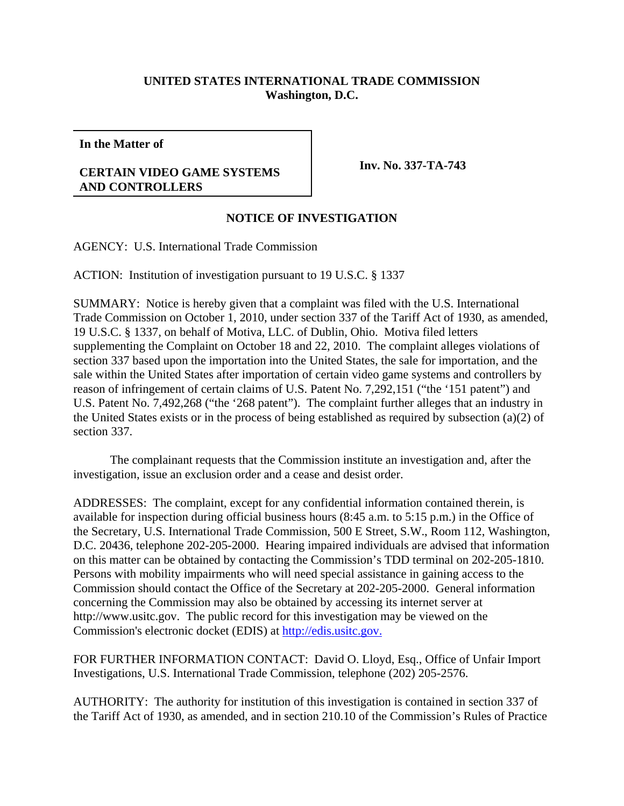## **UNITED STATES INTERNATIONAL TRADE COMMISSION Washington, D.C.**

**In the Matter of**

## **CERTAIN VIDEO GAME SYSTEMS AND CONTROLLERS**

**Inv. No. 337-TA-743**

## **NOTICE OF INVESTIGATION**

AGENCY: U.S. International Trade Commission

ACTION: Institution of investigation pursuant to 19 U.S.C. § 1337

SUMMARY: Notice is hereby given that a complaint was filed with the U.S. International Trade Commission on October 1, 2010, under section 337 of the Tariff Act of 1930, as amended, 19 U.S.C. § 1337, on behalf of Motiva, LLC. of Dublin, Ohio. Motiva filed letters supplementing the Complaint on October 18 and 22, 2010. The complaint alleges violations of section 337 based upon the importation into the United States, the sale for importation, and the sale within the United States after importation of certain video game systems and controllers by reason of infringement of certain claims of U.S. Patent No. 7,292,151 ("the '151 patent") and U.S. Patent No. 7,492,268 ("the '268 patent"). The complaint further alleges that an industry in the United States exists or in the process of being established as required by subsection (a)(2) of section 337.

The complainant requests that the Commission institute an investigation and, after the investigation, issue an exclusion order and a cease and desist order.

ADDRESSES: The complaint, except for any confidential information contained therein, is available for inspection during official business hours (8:45 a.m. to 5:15 p.m.) in the Office of the Secretary, U.S. International Trade Commission, 500 E Street, S.W., Room 112, Washington, D.C. 20436, telephone 202-205-2000. Hearing impaired individuals are advised that information on this matter can be obtained by contacting the Commission's TDD terminal on 202-205-1810. Persons with mobility impairments who will need special assistance in gaining access to the Commission should contact the Office of the Secretary at 202-205-2000. General information concerning the Commission may also be obtained by accessing its internet server at http://www.usitc.gov. The public record for this investigation may be viewed on the Commission's electronic docket (EDIS) at http://edis.usitc.gov.

FOR FURTHER INFORMATION CONTACT: David O. Lloyd, Esq., Office of Unfair Import Investigations, U.S. International Trade Commission, telephone (202) 205-2576.

AUTHORITY: The authority for institution of this investigation is contained in section 337 of the Tariff Act of 1930, as amended, and in section 210.10 of the Commission's Rules of Practice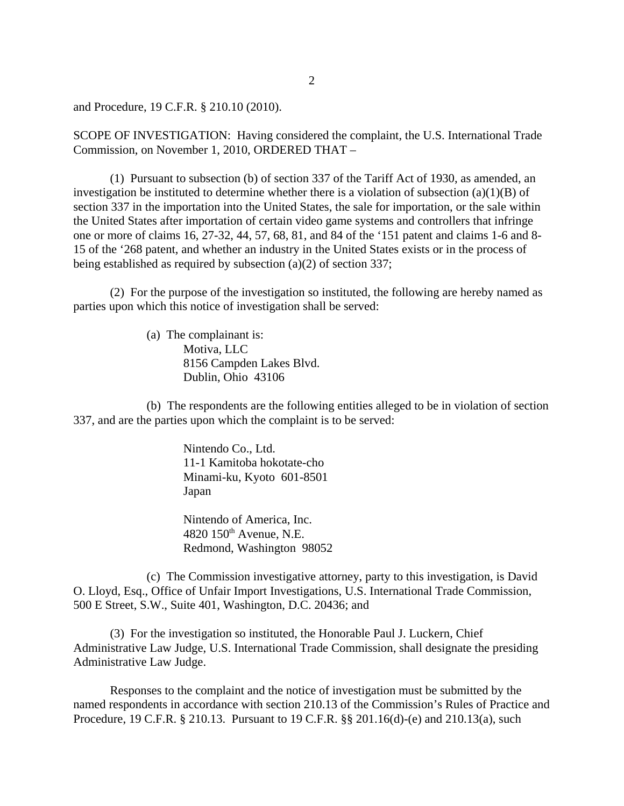and Procedure, 19 C.F.R. § 210.10 (2010).

SCOPE OF INVESTIGATION: Having considered the complaint, the U.S. International Trade Commission, on November 1, 2010, ORDERED THAT –

(1) Pursuant to subsection (b) of section 337 of the Tariff Act of 1930, as amended, an investigation be instituted to determine whether there is a violation of subsection  $(a)(1)(B)$  of section 337 in the importation into the United States, the sale for importation, or the sale within the United States after importation of certain video game systems and controllers that infringe one or more of claims 16, 27-32, 44, 57, 68, 81, and 84 of the '151 patent and claims 1-6 and 8- 15 of the '268 patent, and whether an industry in the United States exists or in the process of being established as required by subsection (a)(2) of section 337;

(2) For the purpose of the investigation so instituted, the following are hereby named as parties upon which this notice of investigation shall be served:

> (a) The complainant is: Motiva, LLC 8156 Campden Lakes Blvd. Dublin, Ohio 43106

(b) The respondents are the following entities alleged to be in violation of section 337, and are the parties upon which the complaint is to be served:

> Nintendo Co., Ltd. 11-1 Kamitoba hokotate-cho Minami-ku, Kyoto 601-8501 Japan

Nintendo of America, Inc.  $4820$   $150<sup>th</sup>$  Avenue, N.E. Redmond, Washington 98052

(c) The Commission investigative attorney, party to this investigation, is David O. Lloyd, Esq., Office of Unfair Import Investigations, U.S. International Trade Commission, 500 E Street, S.W., Suite 401, Washington, D.C. 20436; and

(3) For the investigation so instituted, the Honorable Paul J. Luckern, Chief Administrative Law Judge, U.S. International Trade Commission, shall designate the presiding Administrative Law Judge.

Responses to the complaint and the notice of investigation must be submitted by the named respondents in accordance with section 210.13 of the Commission's Rules of Practice and Procedure, 19 C.F.R. § 210.13. Pursuant to 19 C.F.R. §§ 201.16(d)-(e) and 210.13(a), such